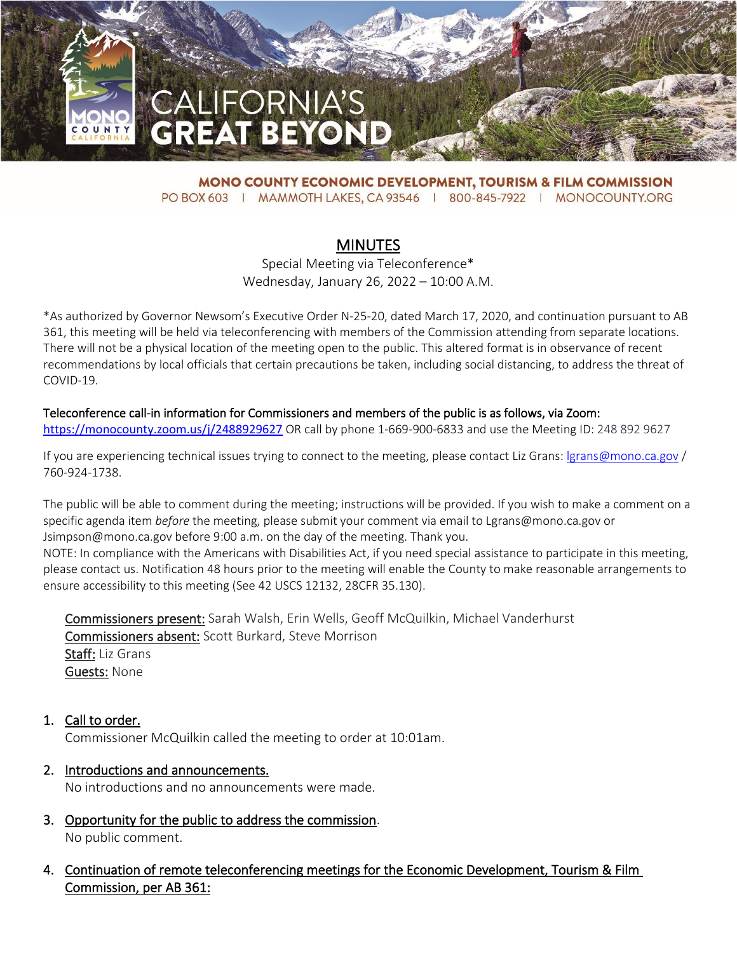

**MONO COUNTY ECONOMIC DEVELOPMENT, TOURISM & FILM COMMISSION** PO BOX 603 | MAMMOTH LAKES, CA 93546 | 800-845-7922 | MONOCOUNTY.ORG

## **MINUTES**

Special Meeting via Teleconference\* Wednesday, January 26, 2022 – 10:00 A.M.

\*As authorized by Governor Newsom's Executive Order N-25-20, dated March 17, 2020, and continuation pursuant to AB 361, this meeting will be held via teleconferencing with members of the Commission attending from separate locations. There will not be a physical location of the meeting open to the public. This altered format is in observance of recent recommendations by local officials that certain precautions be taken, including social distancing, to address the threat of COVID-19.

## Teleconference call-in information for Commissioners and members of the public is as follows, via Zoom:

<https://monocounty.zoom.us/j/2488929627> OR call by phone 1-669-900-6833 and use the Meeting ID: 248 892 9627

If you are experiencing technical issues trying to connect to the meeting, please contact Liz Grans: Igrans@mono.ca.gov / 760-924-1738.

The public will be able to comment during the meeting; instructions will be provided. If you wish to make a comment on a specific agenda item *before* the meeting, please submit your comment via email to Lgrans@mono.ca.gov or Jsimpson@mono.ca.gov before 9:00 a.m. on the day of the meeting. Thank you.

NOTE: In compliance with the Americans with Disabilities Act, if you need special assistance to participate in this meeting, please contact us. Notification 48 hours prior to the meeting will enable the County to make reasonable arrangements to ensure accessibility to this meeting (See 42 USCS 12132, 28CFR 35.130).

Commissioners present: Sarah Walsh, Erin Wells, Geoff McQuilkin, Michael Vanderhurst Commissioners absent: Scott Burkard, Steve Morrison Staff: Liz Grans Guests: None

- 1. Call to order. Commissioner McQuilkin called the meeting to order at 10:01am.
- 2. Introductions and announcements. No introductions and no announcements were made.
- 3. Opportunity for the public to address the commission. No public comment.
- 4. Continuation of remote teleconferencing meetings for the Economic Development, Tourism & Film Commission, per AB 361: